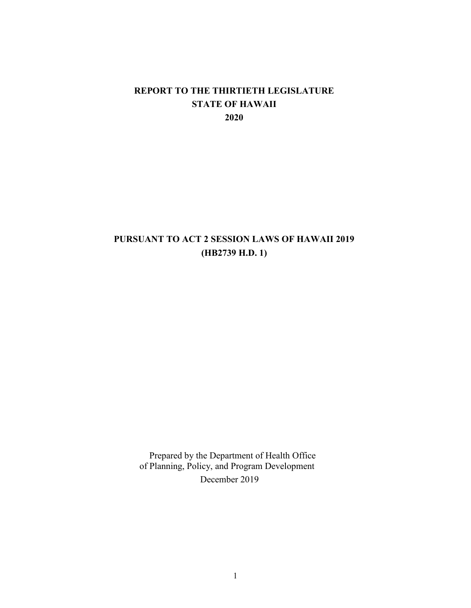#### **REPORT TO THE THIRTIETH LEGISLATURE STATE OF HAWAII 2020**

#### **PURSUANT TO ACT 2 SESSION LAWS OF HAWAII 2019 (HB2739 H.D. 1)**

Prepared by the Department of Health Office of Planning, Policy, and Program Development December 2019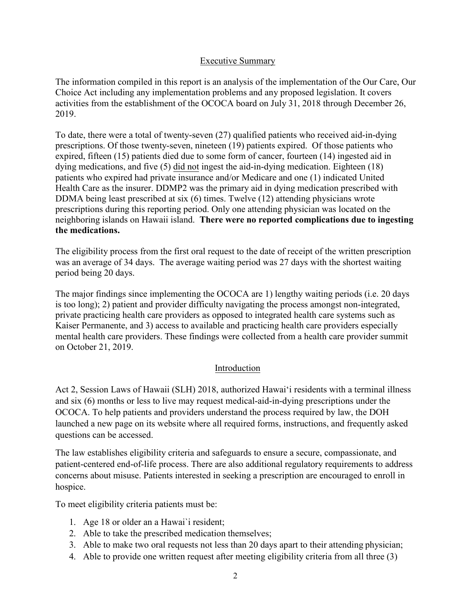#### Executive Summary

The information compiled in this report is an analysis of the implementation of the Our Care, Our Choice Act including any implementation problems and any proposed legislation. It covers activities from the establishment of the OCOCA board on July 31, 2018 through December 26, 2019.

To date, there were a total of twenty-seven (27) qualified patients who received aid-in-dying prescriptions. Of those twenty-seven, nineteen (19) patients expired. Of those patients who expired, fifteen (15) patients died due to some form of cancer, fourteen (14) ingested aid in dying medications, and five (5) did not ingest the aid-in-dying medication. Eighteen (18) patients who expired had private insurance and/or Medicare and one (1) indicated United Health Care as the insurer. DDMP2 was the primary aid in dying medication prescribed with DDMA being least prescribed at six (6) times. Twelve (12) attending physicians wrote prescriptions during this reporting period. Only one attending physician was located on the neighboring islands on Hawaii island. **There were no reported complications due to ingesting the medications.**

The eligibility process from the first oral request to the date of receipt of the written prescription was an average of 34 days. The average waiting period was 27 days with the shortest waiting period being 20 days.

The major findings since implementing the OCOCA are 1) lengthy waiting periods (i.e. 20 days is too long); 2) patient and provider difficulty navigating the process amongst non-integrated, private practicing health care providers as opposed to integrated health care systems such as Kaiser Permanente, and 3) access to available and practicing health care providers especially mental health care providers. These findings were collected from a health care provider summit on October 21, 2019.

#### Introduction

Act 2, Session Laws of Hawaii (SLH) 2018, authorized Hawai'i residents with a terminal illness and six (6) months or less to live may request medical-aid-in-dying prescriptions under the OCOCA. To help patients and providers understand the process required by law, the DOH launched a new page on its website where all required forms, instructions, and frequently asked questions can be accessed.

The law establishes eligibility criteria and safeguards to ensure a secure, compassionate, and patient-centered end-of-life process. There are also additional regulatory requirements to address concerns about misuse. Patients interested in seeking a prescription are encouraged to enroll in hospice.

To meet eligibility criteria patients must be:

- 1. Age 18 or older an a Hawai`i resident;
- 2. Able to take the prescribed medication themselves;
- 3. Able to make two oral requests not less than 20 days apart to their attending physician;
- 4. Able to provide one written request after meeting eligibility criteria from all three (3)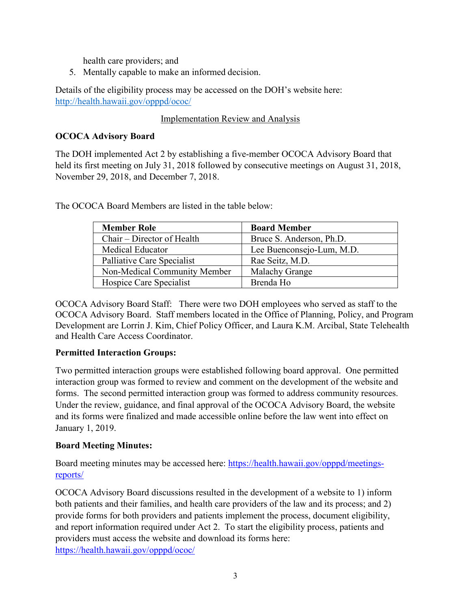health care providers; and

5. Mentally capable to make an informed decision.

Details of the eligibility process may be accessed on the DOH's website here: <http://health.hawaii.gov/opppd/ococ/>

#### Implementation Review and Analysis

#### **OCOCA Advisory Board**

The DOH implemented Act 2 by establishing a five-member OCOCA Advisory Board that held its first meeting on July 31, 2018 followed by consecutive meetings on August 31, 2018, November 29, 2018, and December 7, 2018.

The OCOCA Board Members are listed in the table below:

| <b>Member Role</b>           | <b>Board Member</b>       |
|------------------------------|---------------------------|
| Chair – Director of Health   | Bruce S. Anderson, Ph.D.  |
| <b>Medical Educator</b>      | Lee Buenconsejo-Lum, M.D. |
| Palliative Care Specialist   | Rae Seitz, M.D.           |
| Non-Medical Community Member | Malachy Grange            |
| Hospice Care Specialist      | Brenda Ho                 |

OCOCA Advisory Board Staff: There were two DOH employees who served as staff to the OCOCA Advisory Board. Staff members located in the Office of Planning, Policy, and Program Development are Lorrin J. Kim, Chief Policy Officer, and Laura K.M. Arcibal, State Telehealth and Health Care Access Coordinator.

#### **Permitted Interaction Groups:**

Two permitted interaction groups were established following board approval. One permitted interaction group was formed to review and comment on the development of the website and forms. The second permitted interaction group was formed to address community resources. Under the review, guidance, and final approval of the OCOCA Advisory Board, the website and its forms were finalized and made accessible online before the law went into effect on January 1, 2019.

#### **Board Meeting Minutes:**

Board meeting minutes may be accessed here: [https://health.hawaii.gov/opppd/meetings](https://health.hawaii.gov/opppd/meetings-reports/)[reports/](https://health.hawaii.gov/opppd/meetings-reports/)

OCOCA Advisory Board discussions resulted in the development of a website to 1) inform both patients and their families, and health care providers of the law and its process; and 2) provide forms for both providers and patients implement the process, document eligibility, and report information required under Act 2. To start the eligibility process, patients and providers must access the website and download its forms here: <https://health.hawaii.gov/opppd/ococ/>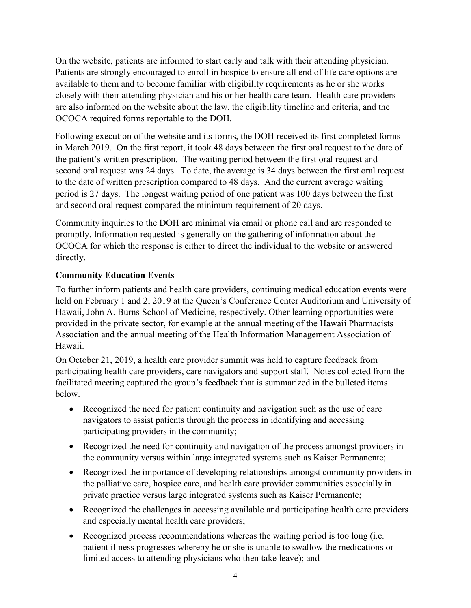On the website, patients are informed to start early and talk with their attending physician. Patients are strongly encouraged to enroll in hospice to ensure all end of life care options are available to them and to become familiar with eligibility requirements as he or she works closely with their attending physician and his or her health care team. Health care providers are also informed on the website about the law, the eligibility timeline and criteria, and the OCOCA required forms reportable to the DOH.

Following execution of the website and its forms, the DOH received its first completed forms in March 2019. On the first report, it took 48 days between the first oral request to the date of the patient's written prescription. The waiting period between the first oral request and second oral request was 24 days. To date, the average is 34 days between the first oral request to the date of written prescription compared to 48 days. And the current average waiting period is 27 days. The longest waiting period of one patient was 100 days between the first and second oral request compared the minimum requirement of 20 days.

Community inquiries to the DOH are minimal via email or phone call and are responded to promptly. Information requested is generally on the gathering of information about the OCOCA for which the response is either to direct the individual to the website or answered directly.

#### **Community Education Events**

To further inform patients and health care providers, continuing medical education events were held on February 1 and 2, 2019 at the Queen's Conference Center Auditorium and University of Hawaii, John A. Burns School of Medicine, respectively. Other learning opportunities were provided in the private sector, for example at the annual meeting of the Hawaii Pharmacists Association and the annual meeting of the Health Information Management Association of Hawaii.

On October 21, 2019, a health care provider summit was held to capture feedback from participating health care providers, care navigators and support staff. Notes collected from the facilitated meeting captured the group's feedback that is summarized in the bulleted items below.

- Recognized the need for patient continuity and navigation such as the use of care navigators to assist patients through the process in identifying and accessing participating providers in the community;
- Recognized the need for continuity and navigation of the process amongst providers in the community versus within large integrated systems such as Kaiser Permanente;
- Recognized the importance of developing relationships amongst community providers in the palliative care, hospice care, and health care provider communities especially in private practice versus large integrated systems such as Kaiser Permanente;
- Recognized the challenges in accessing available and participating health care providers and especially mental health care providers;
- Recognized process recommendations whereas the waiting period is too long (i.e. patient illness progresses whereby he or she is unable to swallow the medications or limited access to attending physicians who then take leave); and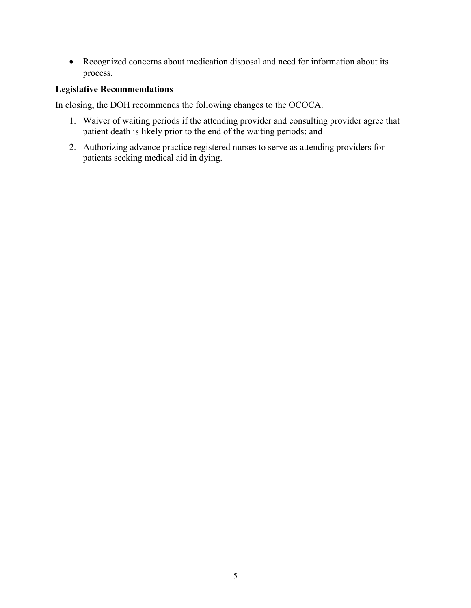• Recognized concerns about medication disposal and need for information about its process.

#### **Legislative Recommendations**

In closing, the DOH recommends the following changes to the OCOCA.

- 1. Waiver of waiting periods if the attending provider and consulting provider agree that patient death is likely prior to the end of the waiting periods; and
- 2. Authorizing advance practice registered nurses to serve as attending providers for patients seeking medical aid in dying.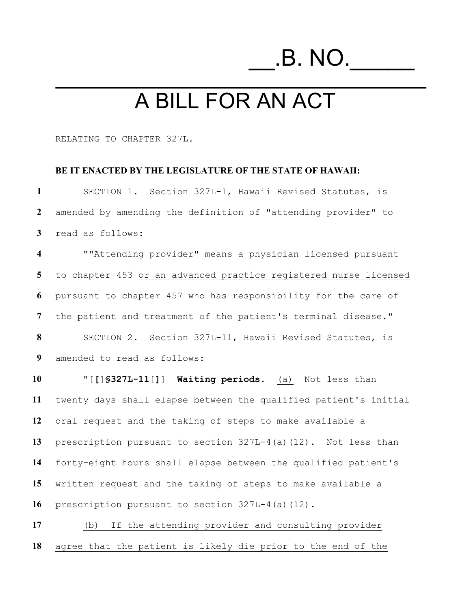# \_\_.B. NO.\_\_

## A BILL FOR AN ACT

RELATING TO CHAPTER 327L.

#### **BE IT ENACTED BY THE LEGISLATURE OF THE STATE OF HAWAII:**

 SECTION 1. Section 327L-1, Hawaii Revised Statutes, is amended by amending the definition of "attending provider" to read as follows: ""Attending provider" means a physician licensed pursuant to chapter 453 or an advanced practice registered nurse licensed pursuant to chapter 457 who has responsibility for the care of the patient and treatment of the patient's terminal disease." SECTION 2. Section 327L-11, Hawaii Revised Statutes, is amended to read as follows: **"**[**[**]**§327L-11**[**]**] **Waiting periods.** (a) Not less than twenty days shall elapse between the qualified patient's initial oral request and the taking of steps to make available a prescription pursuant to section 327L-4(a)(12). Not less than forty-eight hours shall elapse between the qualified patient's written request and the taking of steps to make available a prescription pursuant to section 327L-4(a)(12).

 (b) If the attending provider and consulting provider agree that the patient is likely die prior to the end of the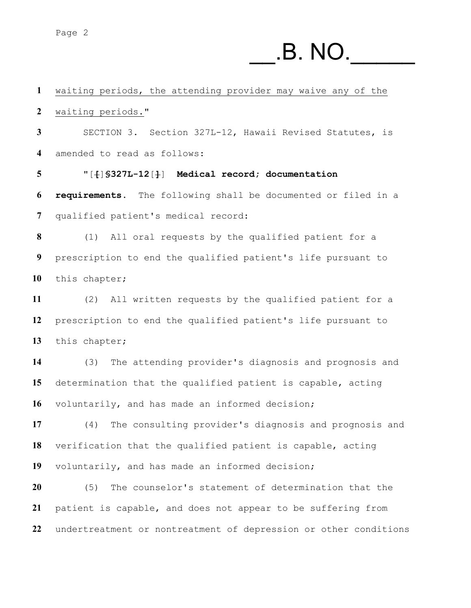### \_\_.B. NO.\_\_\_\_\_

 waiting periods, the attending provider may waive any of the waiting periods." SECTION 3. Section 327L-12, Hawaii Revised Statutes, is amended to read as follows:

 "[**[**]**§327L-12**[**]**] **Medical record; documentation requirements.** The following shall be documented or filed in a qualified patient's medical record:

 (1) All oral requests by the qualified patient for a prescription to end the qualified patient's life pursuant to this chapter;

 (2) All written requests by the qualified patient for a prescription to end the qualified patient's life pursuant to this chapter;

 (3) The attending provider's diagnosis and prognosis and determination that the qualified patient is capable, acting voluntarily, and has made an informed decision;

 (4) The consulting provider's diagnosis and prognosis and verification that the qualified patient is capable, acting voluntarily, and has made an informed decision;

 (5) The counselor's statement of determination that the patient is capable, and does not appear to be suffering from undertreatment or nontreatment of depression or other conditions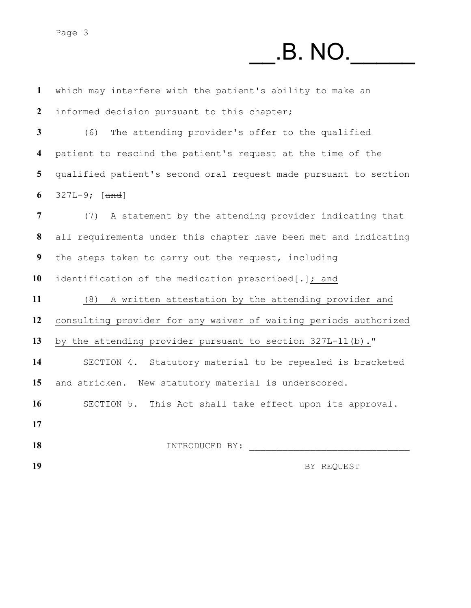## \_\_.B. NO.\_\_\_\_\_

| $\mathbf{1}$            | which may interfere with the patient's ability to make an        |
|-------------------------|------------------------------------------------------------------|
| $\boldsymbol{2}$        | informed decision pursuant to this chapter;                      |
| $\mathbf{3}$            | (6)<br>The attending provider's offer to the qualified           |
| $\overline{\mathbf{4}}$ | patient to rescind the patient's request at the time of the      |
| 5                       | qualified patient's second oral request made pursuant to section |
| 6                       | $327L-9$ ; [and]                                                 |
| $\overline{7}$          | (7) A statement by the attending provider indicating that        |
| 8                       | all requirements under this chapter have been met and indicating |
| 9                       | the steps taken to carry out the request, including              |
| 10                      | identification of the medication prescribed $[-]$ ; and          |
| 11                      | (8) A written attestation by the attending provider and          |
| 12                      | consulting provider for any waiver of waiting periods authorized |
| 13                      | by the attending provider pursuant to section 327L-11(b)."       |
| 14                      | SECTION 4. Statutory material to be repealed is bracketed        |
| 15                      | and stricken. New statutory material is underscored.             |
| 16                      | SECTION 5. This Act shall take effect upon its approval.         |
| 17                      |                                                                  |
| 18                      | INTRODUCED BY:                                                   |
| 19                      | BY REQUEST                                                       |